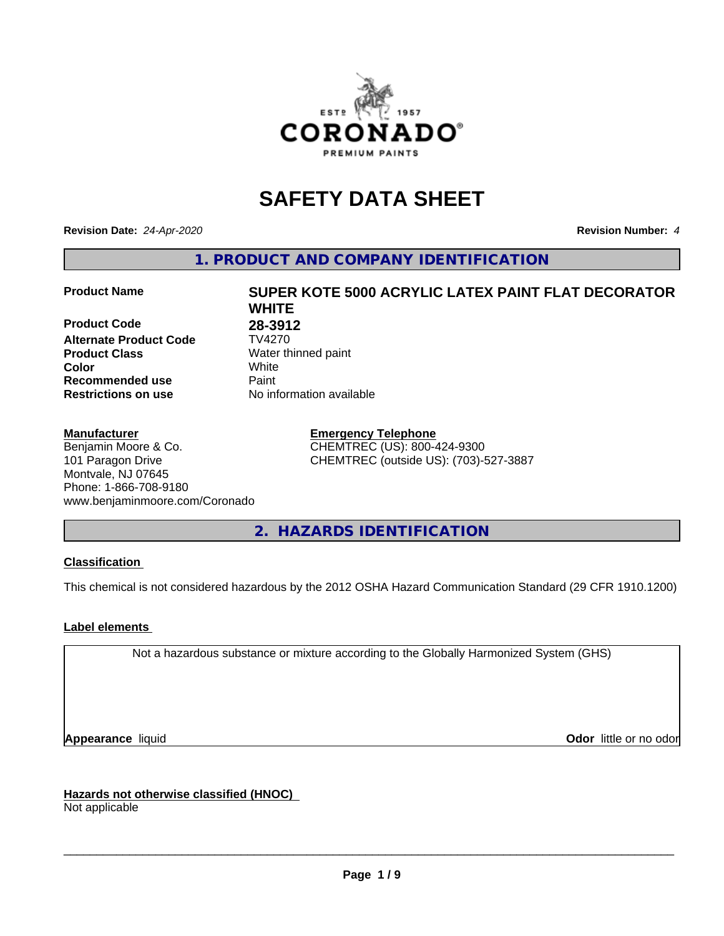

# **SAFETY DATA SHEET**

**Revision Date:** *24-Apr-2020* **Revision Number:** *4*

**1. PRODUCT AND COMPANY IDENTIFICATION**

**Product Code 28-3912**<br>Alternate Product Code 7V4270 **Alternate Product Code Product Class** Water thinned paint<br> **Color** White **Recommended use Caint Restrictions on use** No information available

#### **Manufacturer**

Benjamin Moore & Co. 101 Paragon Drive Montvale, NJ 07645 Phone: 1-866-708-9180 www.benjaminmoore.com/Coronado

# **Product Name SUPER KOTE 5000 ACRYLIC LATEX PAINT FLAT DECORATOR WHITE Color** White

**Emergency Telephone** CHEMTREC (US): 800-424-9300 CHEMTREC (outside US): (703)-527-3887

**2. HAZARDS IDENTIFICATION**

#### **Classification**

This chemical is not considered hazardous by the 2012 OSHA Hazard Communication Standard (29 CFR 1910.1200)

#### **Label elements**

Not a hazardous substance or mixture according to the Globally Harmonized System (GHS)

**Appearance** liquid **Contract Contract Contract Contract Contract Contract Contract Contract Contract Contract Contract Contract Contract Contract Contract Contract Contract Contract Contract Contract Contract Contract Con** 

**Hazards not otherwise classified (HNOC)**

Not applicable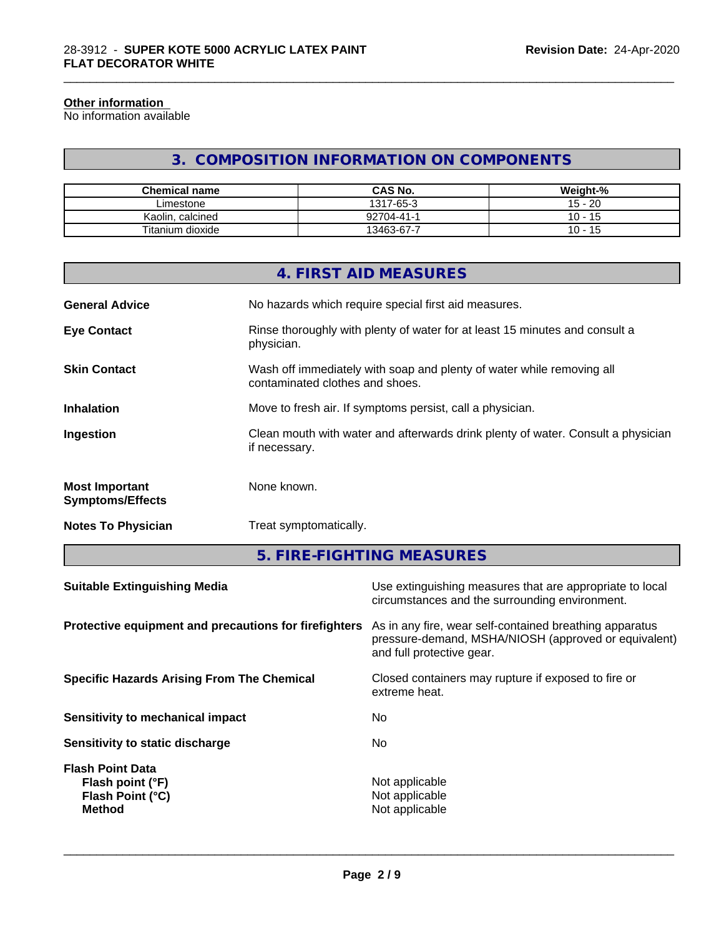#### **Other information**

No information available

## **3. COMPOSITION INFORMATION ON COMPONENTS**

\_\_\_\_\_\_\_\_\_\_\_\_\_\_\_\_\_\_\_\_\_\_\_\_\_\_\_\_\_\_\_\_\_\_\_\_\_\_\_\_\_\_\_\_\_\_\_\_\_\_\_\_\_\_\_\_\_\_\_\_\_\_\_\_\_\_\_\_\_\_\_\_\_\_\_\_\_\_\_\_\_\_\_\_\_\_\_\_\_\_\_\_\_

| <b>Chemical name</b> | <b>CAS No.</b> | Weight-%               |
|----------------------|----------------|------------------------|
| ∟imestone            | 1317-65-3      | $15 - 20$              |
| Kaolin, calcined     | 92704-41-      | 10 -<br>$\overline{A}$ |
| Titanium dioxide     | 13463-67-7     | $10 - 15$              |

|                                                  | <b>4. FIRST AID MEASURES</b>                                                                             |
|--------------------------------------------------|----------------------------------------------------------------------------------------------------------|
| <b>General Advice</b>                            | No hazards which require special first aid measures.                                                     |
| <b>Eye Contact</b>                               | Rinse thoroughly with plenty of water for at least 15 minutes and consult a<br>physician.                |
| <b>Skin Contact</b>                              | Wash off immediately with soap and plenty of water while removing all<br>contaminated clothes and shoes. |
| <b>Inhalation</b>                                | Move to fresh air. If symptoms persist, call a physician.                                                |
| Ingestion                                        | Clean mouth with water and afterwards drink plenty of water. Consult a physician<br>if necessary.        |
| <b>Most Important</b><br><b>Symptoms/Effects</b> | None known.                                                                                              |
| <b>Notes To Physician</b>                        | Treat symptomatically.                                                                                   |
|                                                  |                                                                                                          |

**5. FIRE-FIGHTING MEASURES**

| <b>Suitable Extinguishing Media</b>                                              | Use extinguishing measures that are appropriate to local<br>circumstances and the surrounding environment.                                   |
|----------------------------------------------------------------------------------|----------------------------------------------------------------------------------------------------------------------------------------------|
| Protective equipment and precautions for firefighters                            | As in any fire, wear self-contained breathing apparatus<br>pressure-demand, MSHA/NIOSH (approved or equivalent)<br>and full protective gear. |
| <b>Specific Hazards Arising From The Chemical</b>                                | Closed containers may rupture if exposed to fire or<br>extreme heat.                                                                         |
| Sensitivity to mechanical impact                                                 | No.                                                                                                                                          |
| Sensitivity to static discharge                                                  | No.                                                                                                                                          |
| <b>Flash Point Data</b><br>Flash point (°F)<br>Flash Point (°C)<br><b>Method</b> | Not applicable<br>Not applicable<br>Not applicable                                                                                           |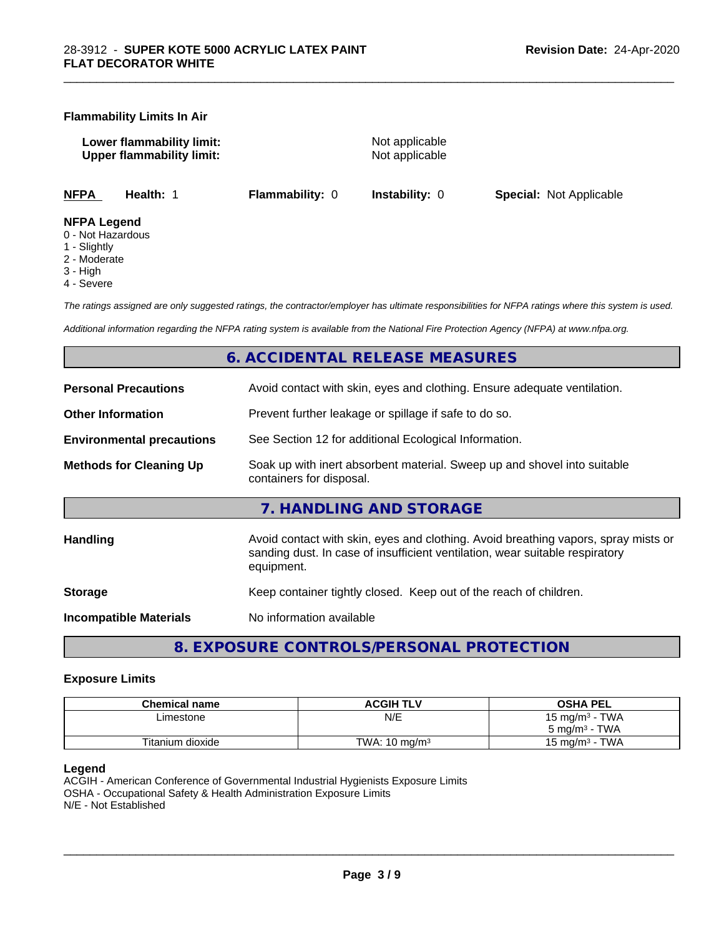#### **Flammability Limits In Air**

**Lower flammability limit:** Not applicable **Upper flammability limit:** Not applicable

\_\_\_\_\_\_\_\_\_\_\_\_\_\_\_\_\_\_\_\_\_\_\_\_\_\_\_\_\_\_\_\_\_\_\_\_\_\_\_\_\_\_\_\_\_\_\_\_\_\_\_\_\_\_\_\_\_\_\_\_\_\_\_\_\_\_\_\_\_\_\_\_\_\_\_\_\_\_\_\_\_\_\_\_\_\_\_\_\_\_\_\_\_

**NFPA Health:** 1 **Flammability:** 0 **Instability:** 0 **Special:** Not Applicable

#### **NFPA Legend**

- 0 Not Hazardous
- 1 Slightly
- 2 Moderate
- 3 High
- 4 Severe

*The ratings assigned are only suggested ratings, the contractor/employer has ultimate responsibilities for NFPA ratings where this system is used.*

*Additional information regarding the NFPA rating system is available from the National Fire Protection Agency (NFPA) at www.nfpa.org.*

#### **6. ACCIDENTAL RELEASE MEASURES**

| <b>Personal Precautions</b>      | Avoid contact with skin, eyes and clothing. Ensure adequate ventilation.                                                                                                         |
|----------------------------------|----------------------------------------------------------------------------------------------------------------------------------------------------------------------------------|
| <b>Other Information</b>         | Prevent further leakage or spillage if safe to do so.                                                                                                                            |
| <b>Environmental precautions</b> | See Section 12 for additional Ecological Information.                                                                                                                            |
| <b>Methods for Cleaning Up</b>   | Soak up with inert absorbent material. Sweep up and shovel into suitable<br>containers for disposal.                                                                             |
|                                  | 7. HANDLING AND STORAGE                                                                                                                                                          |
| <b>Handling</b>                  | Avoid contact with skin, eyes and clothing. Avoid breathing vapors, spray mists or<br>sanding dust. In case of insufficient ventilation, wear suitable respiratory<br>equipment. |
| <b>Storage</b>                   | Keep container tightly closed. Keep out of the reach of children.                                                                                                                |
| <b>Incompatible Materials</b>    | No information available                                                                                                                                                         |
|                                  |                                                                                                                                                                                  |

**8. EXPOSURE CONTROLS/PERSONAL PROTECTION**

#### **Exposure Limits**

| <b>Chemical name</b> | <b>ACGIH TLV</b>         | <b>OSHA PEL</b>                        |
|----------------------|--------------------------|----------------------------------------|
| ∟imestone            | N/E                      | <b>TWA</b><br>15 mg/m <sup>3</sup> - 1 |
|                      |                          | · TWA<br>$5 \text{ ma/m}^3$ -          |
| Titanium dioxide     | TWA: $10 \text{ ma/m}^3$ | <b>TWA</b><br>$15 \text{ ma/m}^3$      |

#### **Legend**

ACGIH - American Conference of Governmental Industrial Hygienists Exposure Limits OSHA - Occupational Safety & Health Administration Exposure Limits N/E - Not Established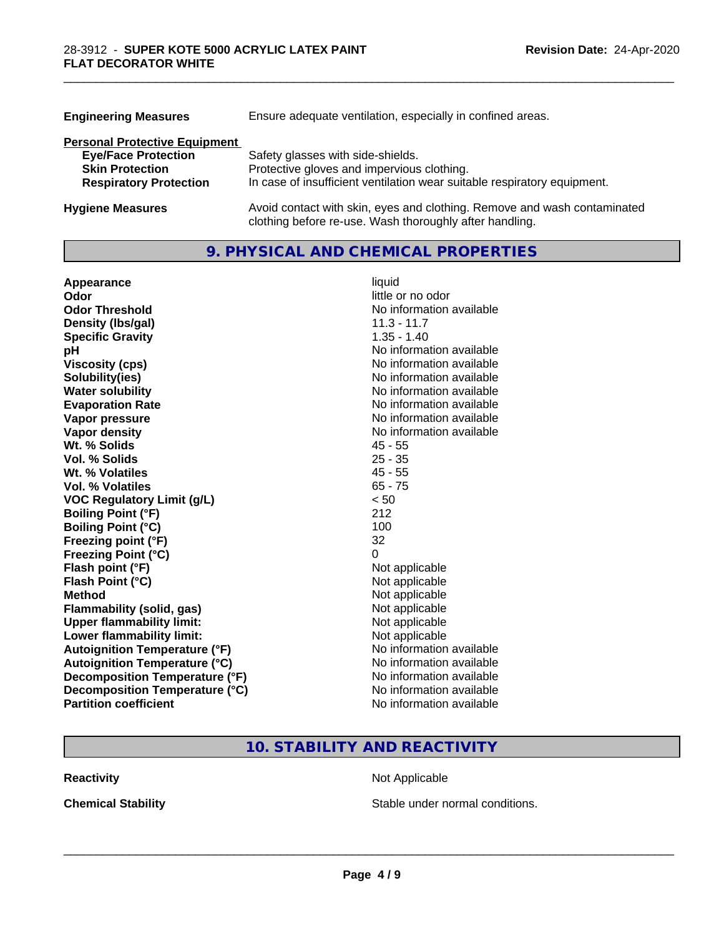| <b>Engineering Measures</b>          | Ensure adequate ventilation, especially in confined areas.                                                                          |  |
|--------------------------------------|-------------------------------------------------------------------------------------------------------------------------------------|--|
| <b>Personal Protective Equipment</b> |                                                                                                                                     |  |
| <b>Eye/Face Protection</b>           | Safety glasses with side-shields.                                                                                                   |  |
| <b>Skin Protection</b>               | Protective gloves and impervious clothing.                                                                                          |  |
| <b>Respiratory Protection</b>        | In case of insufficient ventilation wear suitable respiratory equipment.                                                            |  |
| <b>Hygiene Measures</b>              | Avoid contact with skin, eyes and clothing. Remove and wash contaminated<br>clothing before re-use. Wash thoroughly after handling. |  |

\_\_\_\_\_\_\_\_\_\_\_\_\_\_\_\_\_\_\_\_\_\_\_\_\_\_\_\_\_\_\_\_\_\_\_\_\_\_\_\_\_\_\_\_\_\_\_\_\_\_\_\_\_\_\_\_\_\_\_\_\_\_\_\_\_\_\_\_\_\_\_\_\_\_\_\_\_\_\_\_\_\_\_\_\_\_\_\_\_\_\_\_\_

#### **9. PHYSICAL AND CHEMICAL PROPERTIES**

| Appearance                           | liquid                   |
|--------------------------------------|--------------------------|
| Odor                                 | little or no odor        |
| <b>Odor Threshold</b>                | No information available |
| Density (Ibs/gal)                    | $11.3 - 11.7$            |
| <b>Specific Gravity</b>              | $1.35 - 1.40$            |
| рH                                   | No information available |
| <b>Viscosity (cps)</b>               | No information available |
| Solubility(ies)                      | No information available |
| <b>Water solubility</b>              | No information available |
| <b>Evaporation Rate</b>              | No information available |
| Vapor pressure                       | No information available |
| Vapor density                        | No information available |
| Wt. % Solids                         | $45 - 55$                |
| Vol. % Solids                        | $25 - 35$                |
| Wt. % Volatiles                      | $45 - 55$                |
| Vol. % Volatiles                     | $65 - 75$                |
| <b>VOC Regulatory Limit (g/L)</b>    | < 50                     |
| <b>Boiling Point (°F)</b>            | 212                      |
| <b>Boiling Point (°C)</b>            | 100                      |
| Freezing point (°F)                  | 32                       |
| <b>Freezing Point (°C)</b>           | 0                        |
| Flash point (°F)                     | Not applicable           |
| Flash Point (°C)                     | Not applicable           |
| <b>Method</b>                        | Not applicable           |
| Flammability (solid, gas)            | Not applicable           |
| <b>Upper flammability limit:</b>     | Not applicable           |
| Lower flammability limit:            | Not applicable           |
| <b>Autoignition Temperature (°F)</b> | No information available |
| <b>Autoignition Temperature (°C)</b> | No information available |
| Decomposition Temperature (°F)       | No information available |
| Decomposition Temperature (°C)       | No information available |
| <b>Partition coefficient</b>         | No information available |

### **10. STABILITY AND REACTIVITY**

**Reactivity Not Applicable** Not Applicable

**Chemical Stability Chemical Stability** Stable under normal conditions.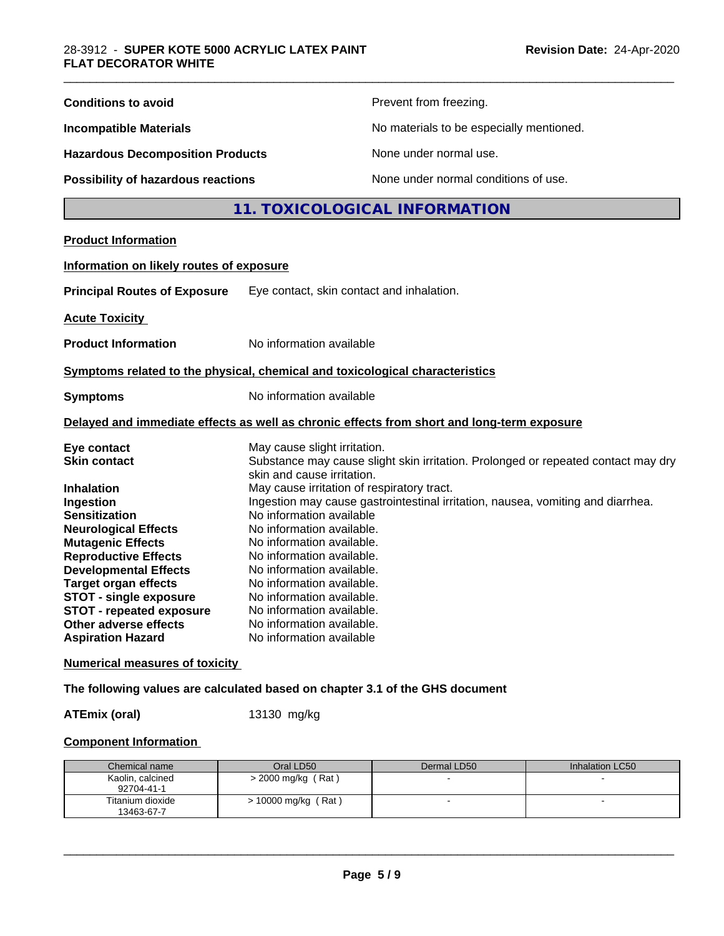| <b>Conditions to avoid</b>               | Prevent from freezing.                                                                                          |  |  |
|------------------------------------------|-----------------------------------------------------------------------------------------------------------------|--|--|
| <b>Incompatible Materials</b>            | No materials to be especially mentioned.                                                                        |  |  |
| <b>Hazardous Decomposition Products</b>  | None under normal use.                                                                                          |  |  |
| Possibility of hazardous reactions       | None under normal conditions of use.                                                                            |  |  |
|                                          | 11. TOXICOLOGICAL INFORMATION                                                                                   |  |  |
| <b>Product Information</b>               |                                                                                                                 |  |  |
| Information on likely routes of exposure |                                                                                                                 |  |  |
| <b>Principal Routes of Exposure</b>      | Eye contact, skin contact and inhalation.                                                                       |  |  |
| <b>Acute Toxicity</b>                    |                                                                                                                 |  |  |
| <b>Product Information</b>               | No information available                                                                                        |  |  |
|                                          | Symptoms related to the physical, chemical and toxicological characteristics                                    |  |  |
| <b>Symptoms</b>                          | No information available                                                                                        |  |  |
|                                          | Delayed and immediate effects as well as chronic effects from short and long-term exposure                      |  |  |
| Eye contact                              | May cause slight irritation.                                                                                    |  |  |
| <b>Skin contact</b>                      | Substance may cause slight skin irritation. Prolonged or repeated contact may dry<br>skin and cause irritation. |  |  |
| <b>Inhalation</b>                        | May cause irritation of respiratory tract.                                                                      |  |  |
| Ingestion                                | Ingestion may cause gastrointestinal irritation, nausea, vomiting and diarrhea.                                 |  |  |
| <b>Sensitization</b>                     | No information available                                                                                        |  |  |
| <b>Neurological Effects</b>              | No information available.                                                                                       |  |  |
| <b>Mutagenic Effects</b>                 | No information available.                                                                                       |  |  |
| <b>Reproductive Effects</b>              | No information available.                                                                                       |  |  |
| <b>Developmental Effects</b>             | No information available.                                                                                       |  |  |
| <b>Target organ effects</b>              | No information available.                                                                                       |  |  |
| <b>STOT - single exposure</b>            | No information available.                                                                                       |  |  |
| <b>STOT - repeated exposure</b>          | No information available.                                                                                       |  |  |
| Other adverse effects                    | No information available.                                                                                       |  |  |
| <b>Aspiration Hazard</b>                 | No information available                                                                                        |  |  |
| <b>Numerical measures of toxicity</b>    |                                                                                                                 |  |  |
|                                          | The following values are calculated based on chapter 3.1 of the GHS document                                    |  |  |
|                                          |                                                                                                                 |  |  |

**ATEmix (oral)** 13130 mg/kg

#### **Component Information**

| Chemical name                  | Oral LD50             | Dermal LD50 | Inhalation LC50 |
|--------------------------------|-----------------------|-------------|-----------------|
| Kaolin, calcined<br>92704-41-1 | > 2000 mg/kg (Rat)    |             |                 |
| Titanium dioxide<br>13463-67-7 | $> 10000$ mg/kg (Rat) |             |                 |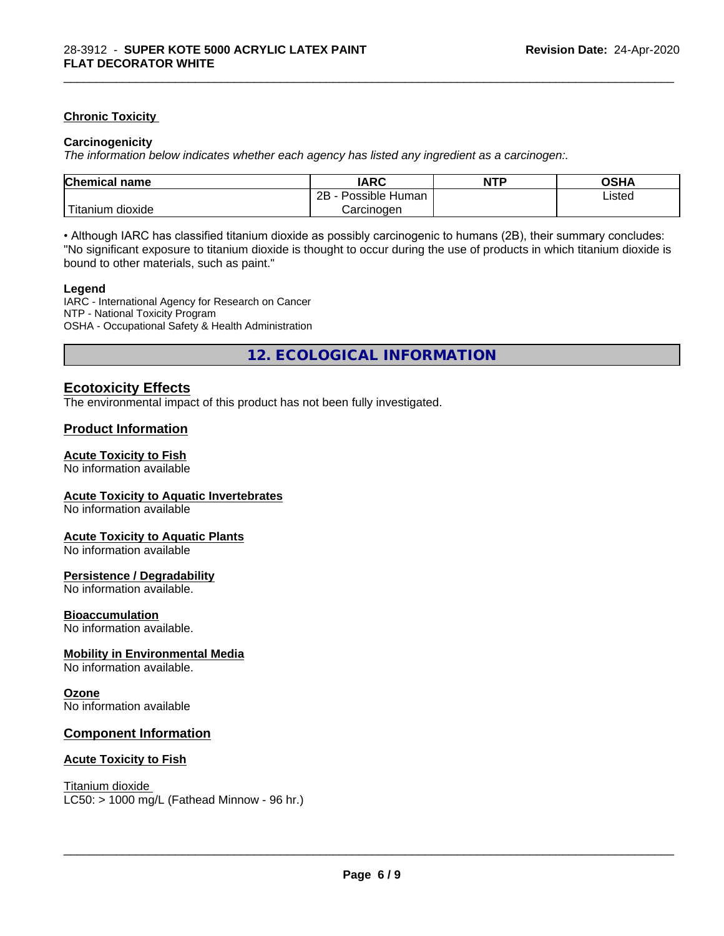#### **Chronic Toxicity**

#### **Carcinogenicity**

*The information below indicateswhether each agency has listed any ingredient as a carcinogen:.*

| <b>Chemical name</b>              | <b>IARC</b>                    | <b>NTP</b> | OSHA   |  |
|-----------------------------------|--------------------------------|------------|--------|--|
|                                   | . .<br>2B<br>Possible<br>Human |            | Listed |  |
| $-1$<br>dioxide<br><b>itanium</b> | Carcinogen                     |            |        |  |

\_\_\_\_\_\_\_\_\_\_\_\_\_\_\_\_\_\_\_\_\_\_\_\_\_\_\_\_\_\_\_\_\_\_\_\_\_\_\_\_\_\_\_\_\_\_\_\_\_\_\_\_\_\_\_\_\_\_\_\_\_\_\_\_\_\_\_\_\_\_\_\_\_\_\_\_\_\_\_\_\_\_\_\_\_\_\_\_\_\_\_\_\_

• Although IARC has classified titanium dioxide as possibly carcinogenic to humans (2B), their summary concludes: "No significant exposure to titanium dioxide is thought to occur during the use of products in which titanium dioxide is bound to other materials, such as paint."

#### **Legend**

IARC - International Agency for Research on Cancer NTP - National Toxicity Program OSHA - Occupational Safety & Health Administration

**12. ECOLOGICAL INFORMATION**

#### **Ecotoxicity Effects**

The environmental impact of this product has not been fully investigated.

#### **Product Information**

#### **Acute Toxicity to Fish**

No information available

#### **Acute Toxicity to Aquatic Invertebrates**

No information available

#### **Acute Toxicity to Aquatic Plants**

No information available

#### **Persistence / Degradability**

No information available.

#### **Bioaccumulation**

No information available.

#### **Mobility in Environmental Media**

No information available.

#### **Ozone**

No information available

#### **Component Information**

#### **Acute Toxicity to Fish**

Titanium dioxide  $LC50:$  > 1000 mg/L (Fathead Minnow - 96 hr.)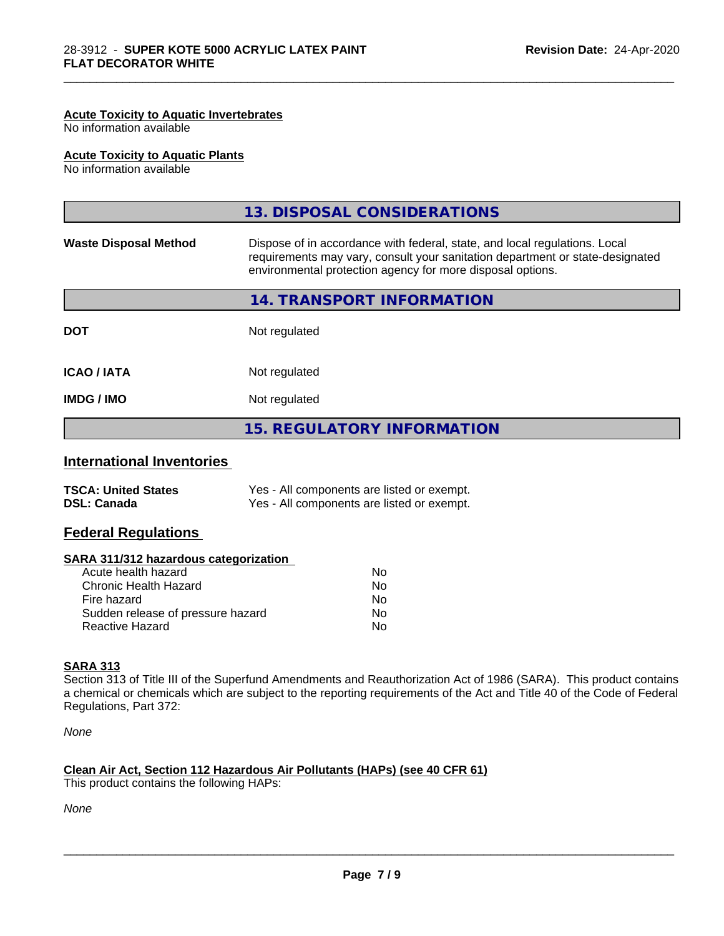#### **Acute Toxicity to Aquatic Invertebrates**

No information available

#### **Acute Toxicity to Aquatic Plants**

No information available

|                              | 13. DISPOSAL CONSIDERATIONS                                                                                                                                                                                               |
|------------------------------|---------------------------------------------------------------------------------------------------------------------------------------------------------------------------------------------------------------------------|
| <b>Waste Disposal Method</b> | Dispose of in accordance with federal, state, and local regulations. Local<br>requirements may vary, consult your sanitation department or state-designated<br>environmental protection agency for more disposal options. |
|                              | 14. TRANSPORT INFORMATION                                                                                                                                                                                                 |
| <b>DOT</b>                   | Not regulated                                                                                                                                                                                                             |
| <b>ICAO / IATA</b>           | Not regulated                                                                                                                                                                                                             |
| <b>IMDG / IMO</b>            | Not regulated                                                                                                                                                                                                             |
|                              | <b>15. REGULATORY INFORMATION</b>                                                                                                                                                                                         |
|                              |                                                                                                                                                                                                                           |

\_\_\_\_\_\_\_\_\_\_\_\_\_\_\_\_\_\_\_\_\_\_\_\_\_\_\_\_\_\_\_\_\_\_\_\_\_\_\_\_\_\_\_\_\_\_\_\_\_\_\_\_\_\_\_\_\_\_\_\_\_\_\_\_\_\_\_\_\_\_\_\_\_\_\_\_\_\_\_\_\_\_\_\_\_\_\_\_\_\_\_\_\_

#### **International Inventories**

| <b>TSCA: United States</b> | Yes - All components are listed or exempt. |
|----------------------------|--------------------------------------------|
| <b>DSL: Canada</b>         | Yes - All components are listed or exempt. |

#### **Federal Regulations**

| SARA 311/312 hazardous categorization |  |
|---------------------------------------|--|
|---------------------------------------|--|

| Acute health hazard               | Nο  |
|-----------------------------------|-----|
| Chronic Health Hazard             | Nο  |
| Fire hazard                       | No. |
| Sudden release of pressure hazard | Nο  |
| Reactive Hazard                   | N٥  |

#### **SARA 313**

Section 313 of Title III of the Superfund Amendments and Reauthorization Act of 1986 (SARA). This product contains a chemical or chemicals which are subject to the reporting requirements of the Act and Title 40 of the Code of Federal Regulations, Part 372:

*None*

# **Clean Air Act,Section 112 Hazardous Air Pollutants (HAPs) (see 40 CFR 61)**

This product contains the following HAPs:

*None*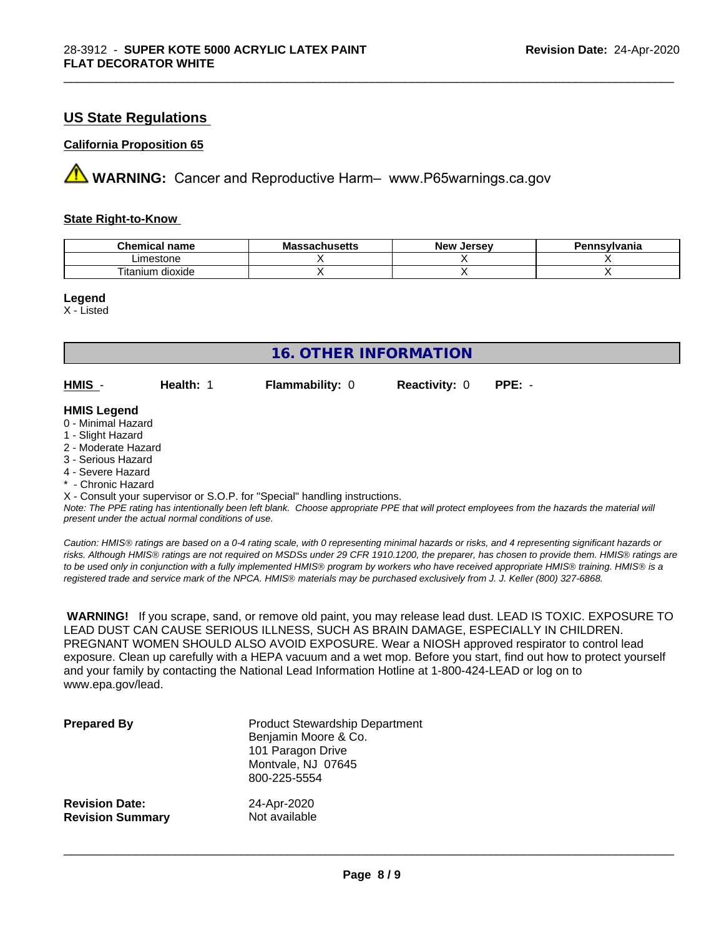#### **US State Regulations**

#### **California Proposition 65**

**AVIMARNING:** Cancer and Reproductive Harm– www.P65warnings.ca.gov

#### **State Right-to-Know**

| Chemic<br>name<br>ешкаг     | - -<br>$-1000$<br>IVIa<br>aunuscus | <b>Jerse</b> v<br><b>Nev</b> | avlvan<br>anıa |
|-----------------------------|------------------------------------|------------------------------|----------------|
| imaetone<br>estone          |                                    |                              |                |
| <br>dioxide<br>um<br>itanit |                                    |                              |                |

\_\_\_\_\_\_\_\_\_\_\_\_\_\_\_\_\_\_\_\_\_\_\_\_\_\_\_\_\_\_\_\_\_\_\_\_\_\_\_\_\_\_\_\_\_\_\_\_\_\_\_\_\_\_\_\_\_\_\_\_\_\_\_\_\_\_\_\_\_\_\_\_\_\_\_\_\_\_\_\_\_\_\_\_\_\_\_\_\_\_\_\_\_

**Legend**

X - Listed

| <b>16. OTHER INFORMATION</b>                                                                                                                                                                                |           |                                                                            |                      |                                                                                                                                               |  |
|-------------------------------------------------------------------------------------------------------------------------------------------------------------------------------------------------------------|-----------|----------------------------------------------------------------------------|----------------------|-----------------------------------------------------------------------------------------------------------------------------------------------|--|
| HMIS -                                                                                                                                                                                                      | Health: 1 | <b>Flammability: 0</b>                                                     | <b>Reactivity: 0</b> | $PPE: -$                                                                                                                                      |  |
| <b>HMIS Legend</b><br>0 - Minimal Hazard<br>1 - Slight Hazard<br>2 - Moderate Hazard<br>3 - Serious Hazard<br>4 - Severe Hazard<br>* - Chronic Hazard<br>present under the actual normal conditions of use. |           | X - Consult your supervisor or S.O.P. for "Special" handling instructions. |                      | Note: The PPE rating has intentionally been left blank. Choose appropriate PPE that will protect employees from the hazards the material will |  |

*Caution: HMISÒ ratings are based on a 0-4 rating scale, with 0 representing minimal hazards or risks, and 4 representing significant hazards or risks. Although HMISÒ ratings are not required on MSDSs under 29 CFR 1910.1200, the preparer, has chosen to provide them. HMISÒ ratings are to be used only in conjunction with a fully implemented HMISÒ program by workers who have received appropriate HMISÒ training. HMISÒ is a registered trade and service mark of the NPCA. HMISÒ materials may be purchased exclusively from J. J. Keller (800) 327-6868.*

 **WARNING!** If you scrape, sand, or remove old paint, you may release lead dust. LEAD IS TOXIC. EXPOSURE TO LEAD DUST CAN CAUSE SERIOUS ILLNESS, SUCH AS BRAIN DAMAGE, ESPECIALLY IN CHILDREN. PREGNANT WOMEN SHOULD ALSO AVOID EXPOSURE. Wear a NIOSH approved respirator to control lead exposure. Clean up carefully with a HEPA vacuum and a wet mop. Before you start, find out how to protect yourself and your family by contacting the National Lead Information Hotline at 1-800-424-LEAD or log on to www.epa.gov/lead.

| <b>Prepared By</b>      | <b>Product Stewardship Department</b><br>Benjamin Moore & Co.<br>101 Paragon Drive<br>Montvale, NJ 07645<br>800-225-5554 |
|-------------------------|--------------------------------------------------------------------------------------------------------------------------|
| <b>Revision Date:</b>   | 24-Apr-2020                                                                                                              |
| <b>Revision Summary</b> | Not available                                                                                                            |